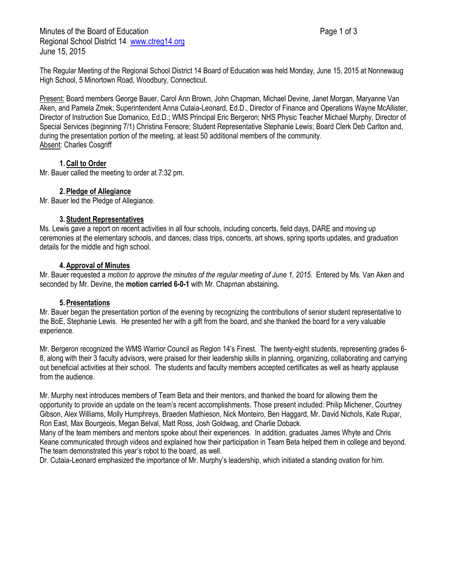Minutes of the Board of Education **Page 1 of 3** Page 1 of 3 Regional School District 14 [www.ctreg14.org](http://www.ctreg14.org/) June 15, 2015

The Regular Meeting of the Regional School District 14 Board of Education was held Monday, June 15, 2015 at Nonnewaug High School, 5 Minortown Road, Woodbury, Connecticut.

Present: Board members George Bauer, Carol Ann Brown, John Chapman, Michael Devine, Janet Morgan, Maryanne Van Aken, and Pamela Zmek; Superintendent Anna Cutaia-Leonard, Ed.D., Director of Finance and Operations Wayne McAllister, Director of Instruction Sue Domanico, Ed.D.; WMS Principal Eric Bergeron; NHS Physic Teacher Michael Murphy, Director of Special Services (beginning 7/1) Christina Fensore; Student Representative Stephanie Lewis; Board Clerk Deb Carlton and, during the presentation portion of the meeting, at least 50 additional members of the community. **Absent: Charles Cosgriff** 

# **1.Call to Order**

Mr. Bauer called the meeting to order at 7:32 pm.

# **2.Pledge of Allegiance**

Mr. Bauer led the Pledge of Allegiance.

## **3.Student Representatives**

Ms. Lewis gave a report on recent activities in all four schools, including concerts, field days, DARE and moving up ceremonies at the elementary schools, and dances, class trips, concerts, art shows, spring sports updates, and graduation details for the middle and high school.

## **4.Approval of Minutes**

Mr. Bauer requested a *motion to approve the minutes of the regular meeting of June 1, 2015*. Entered by Ms. Van Aken and seconded by Mr. Devine, the **motion carried 6-0-1** with Mr. Chapman abstaining**.**

## **5.Presentations**

Mr. Bauer began the presentation portion of the evening by recognizing the contributions of senior student representative to the BoE, Stephanie Lewis. He presented her with a gift from the board, and she thanked the board for a very valuable experience.

Mr. Bergeron recognized the WMS Warrior Council as Region 14's Finest. The twenty-eight students, representing grades 6- 8, along with their 3 faculty advisors, were praised for their leadership skills in planning, organizing, collaborating and carrying out beneficial activities at their school. The students and faculty members accepted certificates as well as hearty applause from the audience.

Mr. Murphy next introduces members of Team Beta and their mentors, and thanked the board for allowing them the opportunity to provide an update on the team's recent accomplishments. Those present included: Philip Michener, Courtney Gibson, Alex Williams, Molly Humphreys, Braeden Mathieson, Nick Monteiro, Ben Haggard, Mr. David Nichols, Kate Rupar, Ron East, Max Bourgeois, Megan Belval, Matt Ross, Josh Goldwag, and Charlie Doback.

Many of the team members and mentors spoke about their experiences. In addition, graduates James Whyte and Chris Keane communicated through videos and explained how their participation in Team Beta helped them in college and beyond. The team demonstrated this year's robot to the board, as well.

Dr. Cutaia-Leonard emphasized the importance of Mr. Murphy's leadership, which initiated a standing ovation for him.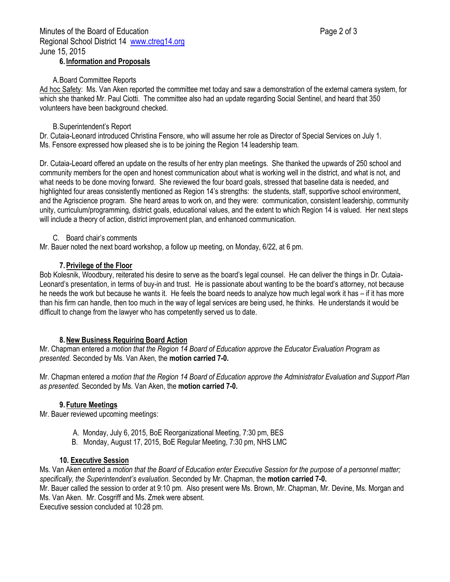## **6. Information and Proposals**

#### A.Board Committee Reports

Ad hoc Safety: Ms. Van Aken reported the committee met today and saw a demonstration of the external camera system, for which she thanked Mr. Paul Ciotti. The committee also had an update regarding Social Sentinel, and heard that 350 volunteers have been background checked.

## B.Superintendent's Report

Dr. Cutaia-Leonard introduced Christina Fensore, who will assume her role as Director of Special Services on July 1. Ms. Fensore expressed how pleased she is to be joining the Region 14 leadership team.

Dr. Cutaia-Leoard offered an update on the results of her entry plan meetings. She thanked the upwards of 250 school and community members for the open and honest communication about what is working well in the district, and what is not, and what needs to be done moving forward. She reviewed the four board goals, stressed that baseline data is needed, and highlighted four areas consistently mentioned as Region 14's strengths: the students, staff, supportive school environment, and the Agriscience program. She heard areas to work on, and they were: communication, consistent leadership, community unity, curriculum/programming, district goals, educational values, and the extent to which Region 14 is valued. Her next steps will include a theory of action, district improvement plan, and enhanced communication.

#### C. Board chair's comments

Mr. Bauer noted the next board workshop, a follow up meeting, on Monday, 6/22, at 6 pm.

#### **7.Privilege of the Floor**

Bob Kolesnik, Woodbury, reiterated his desire to serve as the board's legal counsel. He can deliver the things in Dr. Cutaia-Leonard's presentation, in terms of buy-in and trust. He is passionate about wanting to be the board's attorney, not because he needs the work but because he wants it. He feels the board needs to analyze how much legal work it has – if it has more than his firm can handle, then too much in the way of legal services are being used, he thinks. He understands it would be difficult to change from the lawyer who has competently served us to date.

## **8.New Business Requiring Board Action**

Mr. Chapman entered a *motion that the Region 14 Board of Education approve the Educator Evaluation Program as presented.* Seconded by Ms. Van Aken, the **motion carried 7-0.**

Mr. Chapman entered a *motion that the Region 14 Board of Education approve the Administrator Evaluation and Support Plan as presented.* Seconded by Ms. Van Aken, the **motion carried 7-0.**

## **9. Future Meetings**

Mr. Bauer reviewed upcoming meetings:

- A. Monday, July 6, 2015, BoE Reorganizational Meeting, 7:30 pm, BES
- B. Monday, August 17, 2015, BoE Regular Meeting, 7:30 pm, NHS LMC

#### **10. Executive Session**

Ms. Van Aken entered a *motion that the Board of Education enter Executive Session for the purpose of a personnel matter; specifically, the Superintendent's evaluation.* Seconded by Mr. Chapman, the **motion carried 7-0.**

Mr. Bauer called the session to order at 9:10 pm. Also present were Ms. Brown, Mr. Chapman, Mr. Devine, Ms. Morgan and Ms. Van Aken. Mr. Cosgriff and Ms. Zmek were absent.

Executive session concluded at 10:28 pm.